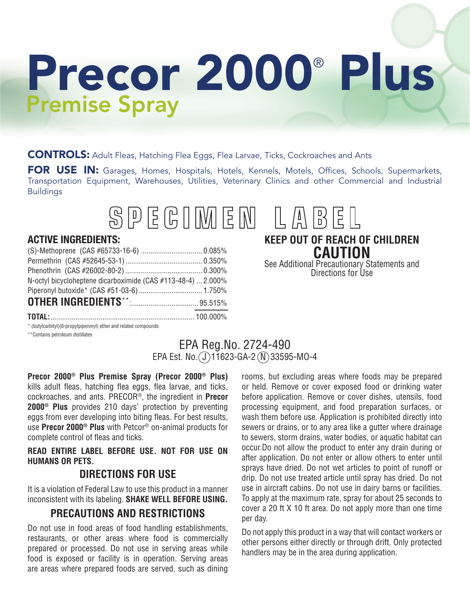# Precor 2000<sup>®</sup> Plus Premise Spray

CONTROLS: Adult Fleas, Hatching Flea Eggs, Flea Larvae, Ticks, Cockroaches and Ants

FOR USE IN: Garages, Homes, Hospitals, Hotels, Kennels, Motels, Offices, Schools, Supermarkets, Transportation Equipment, Warehouses, Utilities, Veterinary Clinics and other Commercial and Industrial Buildings



#### **ACTIVE INGREDIENTS:**

| N-octyl bicycloheptene dicarboximide (CAS #113-48-4)  2.000% |  |
|--------------------------------------------------------------|--|
|                                                              |  |
|                                                              |  |
|                                                              |  |

**KEEP OUT OF REACH OF CHILDREN CAUTION**

See Additional Precautionary Statements and Directions for Use

\* (butylcarbityl)(6-propylpiperonyl) ether and related compounds \*\*Contains petroleum distillates

## EPA Reg.No. 2724-490 EPA Est. No.  $(J)$ 11623-GA-2 $(N)$ 33595-MO-4

**Precor 2000® Plus Premise Spray (Precor 2000® Plus)** kills adult fleas, hatching flea eggs, flea larvae, and ticks, cockroaches, and ants. PRECOR®, the ingredient in **Precor 2000® Plus** provides 210 days' protection by preventing eggs from ever developing into biting fleas. For best results, use **Precor 2000® Plus** with Petcor® on-animal products for complete control of fleas and ticks.

**READ ENTIRE LABEL BEFORE USE. NOT FOR USE ON HUMANS OR PETS.**

## **DIRECTIONS FOR USE**

It is a violation of Federal Law to use this product in a manner inconsistent with its labeling. **SHAKE WELL BEFORE USING.**

## **PRECAUTIONS AND RESTRICTIONS**

Do not use in food areas of food handling establishments, restaurants, or other areas where food is commercially prepared or processed. Do not use in serving areas while food is exposed or facility is in operation. Serving areas are areas where prepared foods are served, such as dining

rooms, but excluding areas where foods may be prepared or held. Remove or cover exposed food or drinking water before application. Remove or cover dishes, utensils, food processing equipment, and food preparation surfaces, or wash them before use. Application is prohibited directly into sewers or drains, or to any area like a gutter where drainage to sewers, storm drains, water bodies, or aquatic habitat can occur.Do not allow the product to enter any drain during or after application. Do not enter or allow others to enter until sprays have dried. Do not wet articles to point of runoff or drip. Do not use treated article until spray has dried. Do not use in aircraft cabins. Do not use in dairy barns or facilities. To apply at the maximum rate, spray for about 25 seconds to cover a 20 ft X 10 ft area. Do not apply more than one time per day.

Do not apply this product in a way that will contact workers or other persons either directly or through drift. Only protected handlers may be in the area during application.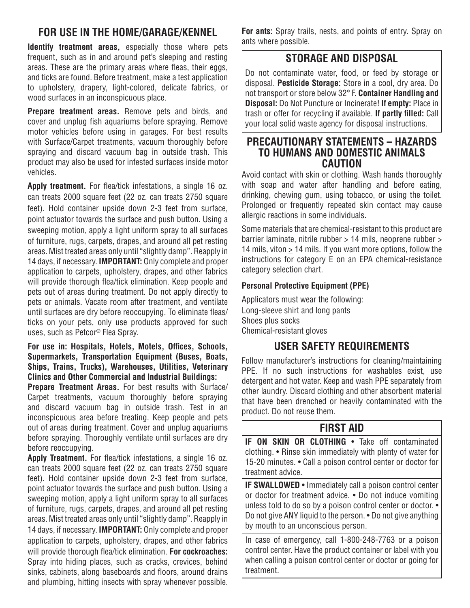# **FOR USE IN THE HOME/GARAGE/KENNEL**

**Identify treatment areas,** especially those where pets frequent, such as in and around pet's sleeping and resting areas. These are the primary areas where fleas, their eggs, and ticks are found. Before treatment, make a test application to upholstery, drapery, light-colored, delicate fabrics, or wood surfaces in an inconspicuous place.

**Prepare treatment areas.** Remove pets and birds, and cover and unplug fish aquariums before spraying. Remove motor vehicles before using in garages. For best results with Surface/Carpet treatments, vacuum thoroughly before spraying and discard vacuum bag in outside trash. This product may also be used for infested surfaces inside motor vehicles.

**Apply treatment.** For flea/tick infestations, a single 16 oz. can treats 2000 square feet (22 oz. can treats 2750 square feet). Hold container upside down 2-3 feet from surface, point actuator towards the surface and push button. Using a sweeping motion, apply a light uniform spray to all surfaces of furniture, rugs, carpets, drapes, and around all pet resting areas. Mist treated areas only until "slightly damp". Reapply in 14 days, if necessary. **IMPORTANT:** Only complete and proper application to carpets, upholstery, drapes, and other fabrics will provide thorough flea/tick elimination. Keep people and pets out of areas during treatment. Do not apply directly to pets or animals. Vacate room after treatment, and ventilate until surfaces are dry before reoccupying. To eliminate fleas/ ticks on your pets, only use products approved for such uses, such as Petcor® Flea Spray.

#### **For use in: Hospitals, Hotels, Motels, Offices, Schools, Supermarkets, Transportation Equipment (Buses, Boats, Ships, Trains, Trucks), Warehouses, Utilities, Veterinary Clinics and Other Commercial and Industrial Buildings:**

**Prepare Treatment Areas.** For best results with Surface/ Carpet treatments, vacuum thoroughly before spraying and discard vacuum bag in outside trash. Test in an inconspicuous area before treating. Keep people and pets out of areas during treatment. Cover and unplug aquariums before spraying. Thoroughly ventilate until surfaces are dry before reoccupying.

**Apply Treatment.** For flea/tick infestations, a single 16 oz. can treats 2000 square feet (22 oz. can treats 2750 square feet). Hold container upside down 2-3 feet from surface, point actuator towards the surface and push button. Using a sweeping motion, apply a light uniform spray to all surfaces of furniture, rugs, carpets, drapes, and around all pet resting areas. Mist treated areas only until "slightly damp". Reapply in 14 days, if necessary. **IMPORTANT:** Only complete and proper application to carpets, upholstery, drapes, and other fabrics will provide thorough flea/tick elimination. **For cockroaches:**  Spray into hiding places, such as cracks, crevices, behind sinks, cabinets, along baseboards and floors, around drains and plumbing, hitting insects with spray whenever possible.

**For ants:** Spray trails, nests, and points of entry. Spray on ants where possible.

## **STORAGE AND DISPOSAL**

Do not contaminate water, food, or feed by storage or disposal. **Pesticide Storage:** Store in a cool, dry area. Do not transport or store below 32° F. **Container Handling and Disposal:** Do Not Puncture or Incinerate! **If empty:** Place in trash or offer for recycling if available. **If partly filled:** Call your local solid waste agency for disposal instructions.

#### **PRECAUTIONARY STATEMENTS – HAZARDS TO HUMANS AND DOMESTIC ANIMALS CAUTION**

Avoid contact with skin or clothing. Wash hands thoroughly with soap and water after handling and before eating, drinking, chewing gum, using tobacco, or using the toilet. Prolonged or frequently repeated skin contact may cause allergic reactions in some individuals.

Some materials that are chemical-resistant to this product are barrier laminate, nitrile rubber  $\geq 14$  mils, neoprene rubber  $\geq$ 14 mils, viton  $\geq$  14 mils. If you want more options, follow the instructions for category E on an EPA chemical-resistance category selection chart.

#### **Personal Protective Equipment (PPE)**

Applicators must wear the following: Long-sleeve shirt and long pants Shoes plus socks Chemical-resistant gloves

## **USER SAFETY REQUIREMENTS**

Follow manufacturer's instructions for cleaning/maintaining PPE. If no such instructions for washables exist, use detergent and hot water. Keep and wash PPE separately from other laundry. Discard clothing and other absorbent material that have been drenched or heavily contaminated with the product. Do not reuse them.

## **FIRST AID**

**IF ON SKIN OR CLOTHING** • Take off contaminated clothing. • Rinse skin immediately with plenty of water for 15-20 minutes. • Call a poison control center or doctor for treatment advice.

**IF SWALLOWED** • Immediately call a poison control center or doctor for treatment advice. • Do not induce vomiting unless told to do so by a poison control center or doctor. • Do not give ANY liquid to the person. • Do not give anything by mouth to an unconscious person.

In case of emergency, call 1-800-248-7763 or a poison control center. Have the product container or label with you when calling a poison control center or doctor or going for treatment.